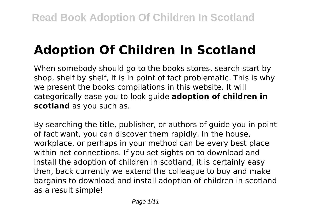# **Adoption Of Children In Scotland**

When somebody should go to the books stores, search start by shop, shelf by shelf, it is in point of fact problematic. This is why we present the books compilations in this website. It will categorically ease you to look guide **adoption of children in scotland** as you such as.

By searching the title, publisher, or authors of guide you in point of fact want, you can discover them rapidly. In the house, workplace, or perhaps in your method can be every best place within net connections. If you set sights on to download and install the adoption of children in scotland, it is certainly easy then, back currently we extend the colleague to buy and make bargains to download and install adoption of children in scotland as a result simple!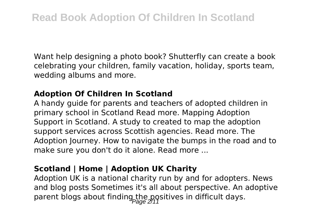Want help designing a photo book? Shutterfly can create a book celebrating your children, family vacation, holiday, sports team, wedding albums and more.

# **Adoption Of Children In Scotland**

A handy guide for parents and teachers of adopted children in primary school in Scotland Read more. Mapping Adoption Support in Scotland. A study to created to map the adoption support services across Scottish agencies. Read more. The Adoption Journey. How to navigate the bumps in the road and to make sure you don't do it alone. Read more ...

# **Scotland | Home | Adoption UK Charity**

Adoption UK is a national charity run by and for adopters. News and blog posts Sometimes it's all about perspective. An adoptive parent blogs about finding the positives in difficult days.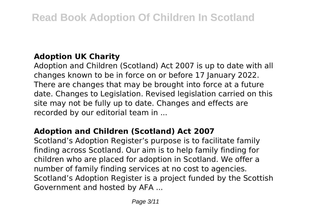# **Adoption UK Charity**

Adoption and Children (Scotland) Act 2007 is up to date with all changes known to be in force on or before 17 January 2022. There are changes that may be brought into force at a future date. Changes to Legislation. Revised legislation carried on this site may not be fully up to date. Changes and effects are recorded by our editorial team in ...

# **Adoption and Children (Scotland) Act 2007**

Scotland's Adoption Register's purpose is to facilitate family finding across Scotland. Our aim is to help family finding for children who are placed for adoption in Scotland. We offer a number of family finding services at no cost to agencies. Scotland's Adoption Register is a project funded by the Scottish Government and hosted by AFA ...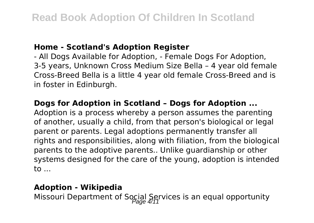#### **Home - Scotland's Adoption Register**

- All Dogs Available for Adoption, - Female Dogs For Adoption, 3-5 years, Unknown Cross Medium Size Bella – 4 year old female Cross-Breed Bella is a little 4 year old female Cross-Breed and is in foster in Edinburgh.

#### **Dogs for Adoption in Scotland – Dogs for Adoption ...**

Adoption is a process whereby a person assumes the parenting of another, usually a child, from that person's biological or legal parent or parents. Legal adoptions permanently transfer all rights and responsibilities, along with filiation, from the biological parents to the adoptive parents.. Unlike guardianship or other systems designed for the care of the young, adoption is intended to ...

#### **Adoption - Wikipedia**

Missouri Department of Social Services is an equal opportunity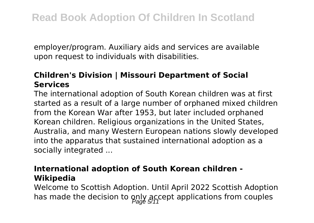employer/program. Auxiliary aids and services are available upon request to individuals with disabilities.

# **Children's Division | Missouri Department of Social Services**

The international adoption of South Korean children was at first started as a result of a large number of orphaned mixed children from the Korean War after 1953, but later included orphaned Korean children. Religious organizations in the United States, Australia, and many Western European nations slowly developed into the apparatus that sustained international adoption as a socially integrated ...

# **International adoption of South Korean children - Wikipedia**

Welcome to Scottish Adoption. Until April 2022 Scottish Adoption has made the decision to only accept applications from couples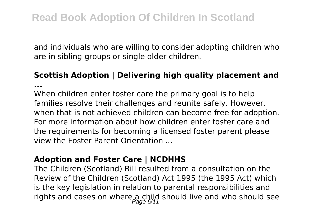and individuals who are willing to consider adopting children who are in sibling groups or single older children.

# **Scottish Adoption | Delivering high quality placement and**

**...**

When children enter foster care the primary goal is to help families resolve their challenges and reunite safely. However, when that is not achieved children can become free for adoption. For more information about how children enter foster care and the requirements for becoming a licensed foster parent please view the Foster Parent Orientation ...

#### **Adoption and Foster Care | NCDHHS**

The Children (Scotland) Bill resulted from a consultation on the Review of the Children (Scotland) Act 1995 (the 1995 Act) which is the key legislation in relation to parental responsibilities and rights and cases on where a child should live and who should see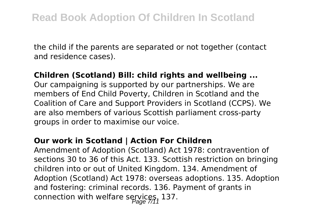the child if the parents are separated or not together (contact and residence cases).

#### **Children (Scotland) Bill: child rights and wellbeing ...**

Our campaigning is supported by our partnerships. We are members of End Child Poverty, Children in Scotland and the Coalition of Care and Support Providers in Scotland (CCPS). We are also members of various Scottish parliament cross-party groups in order to maximise our voice.

#### **Our work in Scotland | Action For Children**

Amendment of Adoption (Scotland) Act 1978: contravention of sections 30 to 36 of this Act. 133. Scottish restriction on bringing children into or out of United Kingdom. 134. Amendment of Adoption (Scotland) Act 1978: overseas adoptions. 135. Adoption and fostering: criminal records. 136. Payment of grants in connection with welfare services, 137.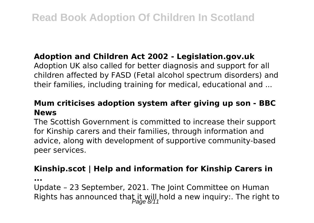# **Adoption and Children Act 2002 - Legislation.gov.uk**

Adoption UK also called for better diagnosis and support for all children affected by FASD (Fetal alcohol spectrum disorders) and their families, including training for medical, educational and ...

# **Mum criticises adoption system after giving up son - BBC News**

The Scottish Government is committed to increase their support for Kinship carers and their families, through information and advice, along with development of supportive community-based peer services.

# **Kinship.scot | Help and information for Kinship Carers in**

**...**

Update – 23 September, 2021. The Joint Committee on Human Rights has announced that it will hold a new inquiry:. The right to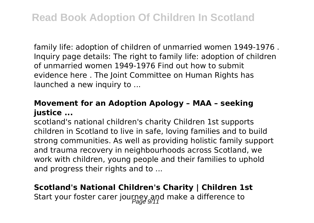family life: adoption of children of unmarried women 1949-1976 . Inquiry page details: The right to family life: adoption of children of unmarried women 1949-1976 Find out how to submit evidence here . The Joint Committee on Human Rights has launched a new inquiry to ...

#### **Movement for an Adoption Apology – MAA – seeking justice ...**

scotland's national children's charity Children 1st supports children in Scotland to live in safe, loving families and to build strong communities. As well as providing holistic family support and trauma recovery in neighbourhoods across Scotland, we work with children, young people and their families to uphold and progress their rights and to ...

# **Scotland's National Children's Charity | Children 1st**

Start your foster carer journey and make a difference to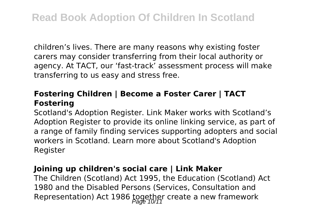children's lives. There are many reasons why existing foster carers may consider transferring from their local authority or agency. At TACT, our 'fast-track' assessment process will make transferring to us easy and stress free.

# **Fostering Children | Become a Foster Carer | TACT Fostering**

Scotland's Adoption Register. Link Maker works with Scotland's Adoption Register to provide its online linking service, as part of a range of family finding services supporting adopters and social workers in Scotland. Learn more about Scotland's Adoption Register

#### **Joining up children's social care | Link Maker**

The Children (Scotland) Act 1995, the Education (Scotland) Act 1980 and the Disabled Persons (Services, Consultation and Representation) Act 1986 together create a new framework